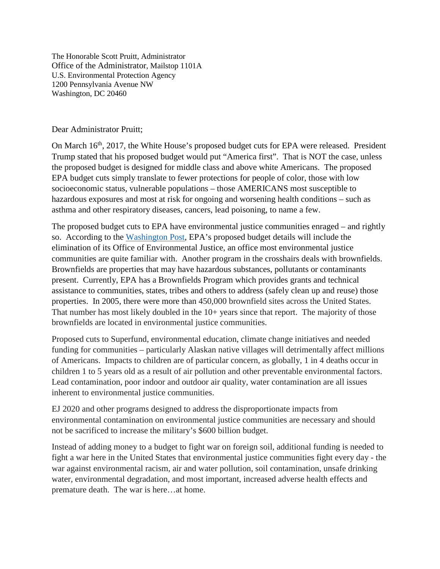The Honorable Scott Pruitt, Administrator Office of the Administrator, Mailstop 1101A U.S. Environmental Protection Agency 1200 Pennsylvania Avenue NW Washington, DC 20460

## Dear Administrator Pruitt;

On March 16<sup>th</sup>, 2017, the White House's proposed budget cuts for EPA were released. President Trump stated that his proposed budget would put "America first". That is NOT the case, unless the proposed budget is designed for middle class and above white Americans. The proposed EPA budget cuts simply translate to fewer protections for people of color, those with low socioeconomic status, vulnerable populations – those AMERICANS most susceptible to hazardous exposures and most at risk for ongoing and worsening health conditions – such as asthma and other respiratory diseases, cancers, lead poisoning, to name a few.

The proposed budget cuts to EPA have environmental justice communities enraged – and rightly so. According to the [Washington Post,](https://www.washingtonpost.com/news/energy-environment/wp/2017/03/01/white-house-proposes-cutting-epa-staff-by-one-fifth-eliminating-key-programs/?utm_term=.d15452c27030) EPA's proposed budget details will include the elimination of its Office of Environmental Justice, an office most environmental justice communities are quite familiar with. Another program in the crosshairs deals with brownfields. Brownfields are properties that may have hazardous substances, pollutants or contaminants present. Currently, EPA has a Brownfields Program which provides grants and technical assistance to communities, states, tribes and others to address (safely clean up and reuse) those properties. In 2005, there were more than 450,000 brownfield sites across the United States. That number has most likely doubled in the 10+ years since that report. The majority of those brownfields are located in environmental justice communities.

Proposed cuts to Superfund, environmental education, climate change initiatives and needed funding for communities – particularly Alaskan native villages will detrimentally affect millions of Americans. Impacts to children are of particular concern, as globally, 1 in 4 deaths occur in children 1 to 5 years old as a result of air pollution and other preventable environmental factors. Lead contamination, poor indoor and outdoor air quality, water contamination are all issues inherent to environmental justice communities.

EJ 2020 and other programs designed to address the disproportionate impacts from environmental contamination on environmental justice communities are necessary and should not be sacrificed to increase the military's \$600 billion budget.

Instead of adding money to a budget to fight war on foreign soil, additional funding is needed to fight a war here in the United States that environmental justice communities fight every day - the war against environmental racism, air and water pollution, soil contamination, unsafe drinking water, environmental degradation, and most important, increased adverse health effects and premature death. The war is here…at home.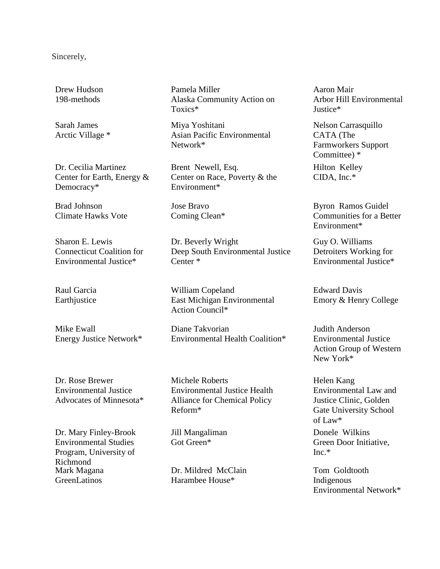## Sincerely,

Drew Hudson 198-methods

Sarah James Arctic Village \*

Dr. Cecilia Martinez Center for Earth, Energy & Democracy\*

Brad Johnson Climate Hawks Vote

Sharon E. Lewis Connecticut Coalition for Environmental Justice\*

Raul Garcia Earthjustice

Mike Ewall Energy Justice Network\*

Dr. Rose Brewer Environmental Justice Advocates of Minnesota\*

Dr. Mary Finley-Brook Environmental Studies Program, University of Richmond Mark Magana **GreenLatinos** 

Pamela Miller Alaska Community Action on Toxics\*

Miya Yoshitani Asian Pacific Environmental Network\*

Brent Newell, Esq. Center on Race, Poverty & the Environment\*

Jose Bravo Coming Clean\*

Dr. Beverly Wright Deep South Environmental Justice Center \*

William Copeland East Michigan Environmental Action Council\*

Diane Takvorian Environmental Health Coalition\*

Michele Roberts Environmental Justice Health Alliance for Chemical Policy Reform\*

Jill Mangaliman Got Green\*

Dr. Mildred McClain Harambee House\*

Aaron Mair Arbor Hill Environmental Justice\*

Nelson Carrasquillo CATA (The Farmworkers Support Committee) \*

Hilton Kelley CIDA, Inc.\*

Byron Ramos Guidel Communities for a Better Environment\*

Guy O. Williams Detroiters Working for Environmental Justice\*

Edward Davis Emory & Henry College

Judith Anderson Environmental Justice Action Group of Western New York\*

Helen Kang Environmental Law and Justice Clinic, Golden Gate University School of Law\*

Donele Wilkins Green Door Initiative,  $Inc$   $*$ 

Tom Goldtooth Indigenous Environmental Network\*